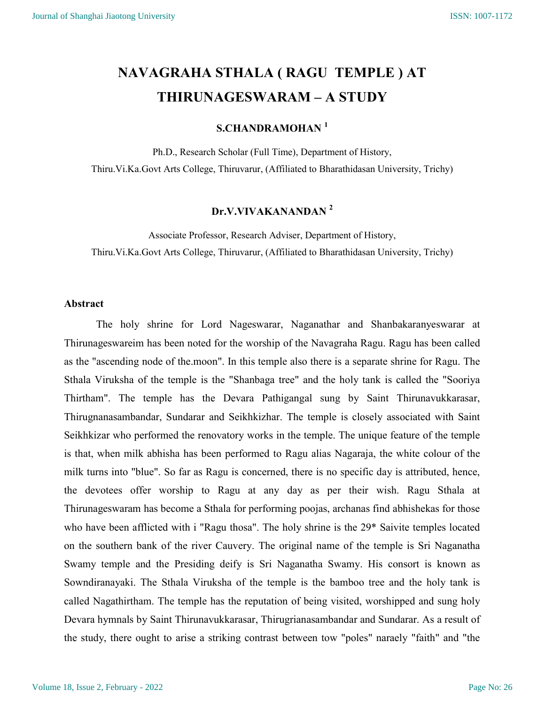# NAVAGRAHA STHALA ( RAGU TEMPLE ) AT THIRUNAGESWARAM – A STUDY

## S.CHANDRAMOHAN<sup>1</sup>

Ph.D., Research Scholar (Full Time), Department of History, Thiru.Vi.Ka.Govt Arts College, Thiruvarur, (Affiliated to Bharathidasan University, Trichy)

## Dr.V.VIVAKANANDAN <sup>2</sup>

Associate Professor, Research Adviser, Department of History, Thiru.Vi.Ka.Govt Arts College, Thiruvarur, (Affiliated to Bharathidasan University, Trichy)

## Abstract

The holy shrine for Lord Nageswarar, Naganathar and Shanbakaranyeswarar at Thirunageswareim has been noted for the worship of the Navagraha Ragu. Ragu has been called as the "ascending node of the.moon". In this temple also there is a separate shrine for Ragu. The Sthala Viruksha of the temple is the "Shanbaga tree" and the holy tank is called the "Sooriya Thirtham". The temple has the Devara Pathigangal sung by Saint Thirunavukkarasar, Thirugnanasambandar, Sundarar and Seikhkizhar. The temple is closely associated with Saint Seikhkizar who performed the renovatory works in the temple. The unique feature of the temple is that, when milk abhisha has been performed to Ragu alias Nagaraja, the white colour of the milk turns into "blue". So far as Ragu is concerned, there is no specific day is attributed, hence, the devotees offer worship to Ragu at any day as per their wish. Ragu Sthala at Thirunageswaram has become a Sthala for performing poojas, archanas find abhishekas for those who have been afflicted with i "Ragu thosa". The holy shrine is the 29<sup>\*</sup> Saivite temples located on the southern bank of the river Cauvery. The original name of the temple is Sri Naganatha Swamy temple and the Presiding deify is Sri Naganatha Swamy. His consort is known as Sowndiranayaki. The Sthala Viruksha of the temple is the bamboo tree and the holy tank is called Nagathirtham. The temple has the reputation of being visited, worshipped and sung holy Devara hymnals by Saint Thirunavukkarasar, Thirugrianasambandar and Sundarar. As a result of the study, there ought to arise a striking contrast between tow "poles" naraely "faith" and "the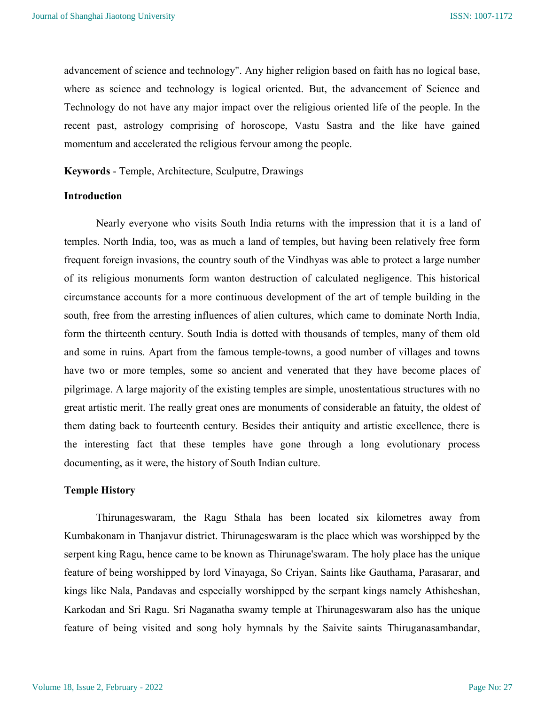advancement of science and technology". Any higher religion based on faith has no logical base, where as science and technology is logical oriented. But, the advancement of Science and Technology do not have any major impact over the religious oriented life of the people. In the recent past, astrology comprising of horoscope, Vastu Sastra and the like have gained momentum and accelerated the religious fervour among the people.

Keywords - Temple, Architecture, Sculputre, Drawings

#### Introduction

Nearly everyone who visits South India returns with the impression that it is a land of temples. North India, too, was as much a land of temples, but having been relatively free form frequent foreign invasions, the country south of the Vindhyas was able to protect a large number of its religious monuments form wanton destruction of calculated negligence. This historical circumstance accounts for a more continuous development of the art of temple building in the south, free from the arresting influences of alien cultures, which came to dominate North India, form the thirteenth century. South India is dotted with thousands of temples, many of them old and some in ruins. Apart from the famous temple-towns, a good number of villages and towns have two or more temples, some so ancient and venerated that they have become places of pilgrimage. A large majority of the existing temples are simple, unostentatious structures with no great artistic merit. The really great ones are monuments of considerable an fatuity, the oldest of them dating back to fourteenth century. Besides their antiquity and artistic excellence, there is the interesting fact that these temples have gone through a long evolutionary process documenting, as it were, the history of South Indian culture.

## Temple History

Thirunageswaram, the Ragu Sthala has been located six kilometres away from Kumbakonam in Thanjavur district. Thirunageswaram is the place which was worshipped by the serpent king Ragu, hence came to be known as Thirunage'swaram. The holy place has the unique feature of being worshipped by lord Vinayaga, So Criyan, Saints like Gauthama, Parasarar, and kings like Nala, Pandavas and especially worshipped by the serpant kings namely Athisheshan, Karkodan and Sri Ragu. Sri Naganatha swamy temple at Thirunageswaram also has the unique feature of being visited and song holy hymnals by the Saivite saints Thiruganasambandar,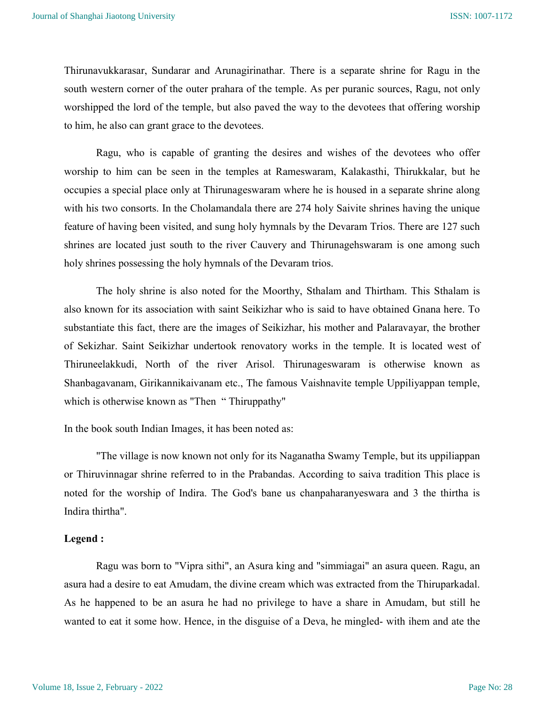Thirunavukkarasar, Sundarar and Arunagirinathar. There is a separate shrine for Ragu in the south western corner of the outer prahara of the temple. As per puranic sources, Ragu, not only worshipped the lord of the temple, but also paved the way to the devotees that offering worship to him, he also can grant grace to the devotees.

Ragu, who is capable of granting the desires and wishes of the devotees who offer worship to him can be seen in the temples at Rameswaram, Kalakasthi, Thirukkalar, but he occupies a special place only at Thirunageswaram where he is housed in a separate shrine along with his two consorts. In the Cholamandala there are 274 holy Saivite shrines having the unique feature of having been visited, and sung holy hymnals by the Devaram Trios. There are 127 such shrines are located just south to the river Cauvery and Thirunagehswaram is one among such holy shrines possessing the holy hymnals of the Devaram trios.

The holy shrine is also noted for the Moorthy, Sthalam and Thirtham. This Sthalam is also known for its association with saint Seikizhar who is said to have obtained Gnana here. To substantiate this fact, there are the images of Seikizhar, his mother and Palaravayar, the brother of Sekizhar. Saint Seikizhar undertook renovatory works in the temple. It is located west of Thiruneelakkudi, North of the river Arisol. Thirunageswaram is otherwise known as Shanbagavanam, Girikannikaivanam etc., The famous Vaishnavite temple Uppiliyappan temple, which is otherwise known as "Then " Thiruppathy"

In the book south Indian Images, it has been noted as:

"The village is now known not only for its Naganatha Swamy Temple, but its uppiliappan or Thiruvinnagar shrine referred to in the Prabandas. According to saiva tradition This place is noted for the worship of Indira. The God's bane us chanpaharanyeswara and 3 the thirtha is Indira thirtha".

#### Legend :

Ragu was born to "Vipra sithi", an Asura king and "simmiagai" an asura queen. Ragu, an asura had a desire to eat Amudam, the divine cream which was extracted from the Thiruparkadal. As he happened to be an asura he had no privilege to have a share in Amudam, but still he wanted to eat it some how. Hence, in the disguise of a Deva, he mingled- with ihem and ate the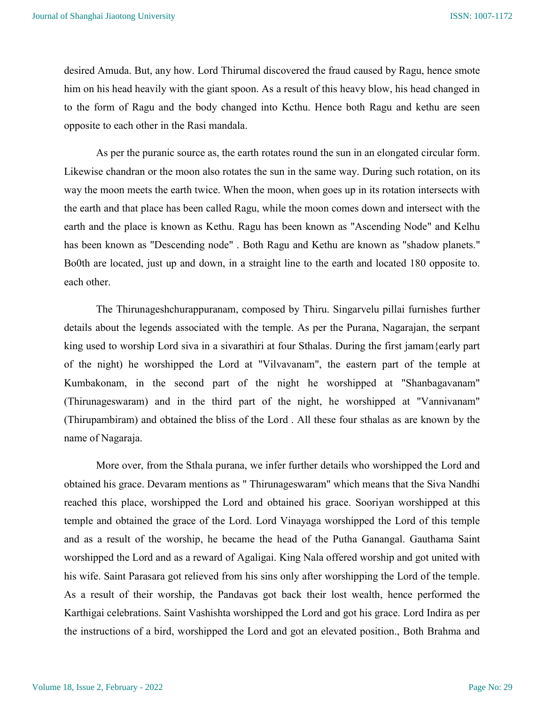desired Amuda. But, any how. Lord Thirumal discovered the fraud caused by Ragu, hence smote him on his head heavily with the giant spoon. As a result of this heavy blow, his head changed in to the form of Ragu and the body changed into Kcthu. Hence both Ragu and kethu are seen opposite to each other in the Rasi mandala.

As per the puranic source as, the earth rotates round the sun in an elongated circular form. Likewise chandran or the moon also rotates the sun in the same way. During such rotation, on its way the moon meets the earth twice. When the moon, when goes up in its rotation intersects with the earth and that place has been called Ragu, while the moon comes down and intersect with the earth and the place is known as Kethu. Ragu has been known as "Ascending Node" and Kelhu has been known as "Descending node" . Both Ragu and Kethu are known as "shadow planets." Bo0th are located, just up and down, in a straight line to the earth and located 180 opposite to. each other.

The Thirunageshchurappuranam, composed by Thiru. Singarvelu pillai furnishes further details about the legends associated with the temple. As per the Purana, Nagarajan, the serpant king used to worship Lord siva in a sivarathiri at four Sthalas. During the first jamam{early part of the night) he worshipped the Lord at "Vilvavanam", the eastern part of the temple at Kumbakonam, in the second part of the night he worshipped at "Shanbagavanam" (Thirunageswaram) and in the third part of the night, he worshipped at "Vannivanam" (Thirupambiram) and obtained the bliss of the Lord . All these four sthalas as are known by the name of Nagaraja.

More over, from the Sthala purana, we infer further details who worshipped the Lord and obtained his grace. Devaram mentions as " Thirunageswaram" which means that the Siva Nandhi reached this place, worshipped the Lord and obtained his grace. Sooriyan worshipped at this temple and obtained the grace of the Lord. Lord Vinayaga worshipped the Lord of this temple and as a result of the worship, he became the head of the Putha Ganangal. Gauthama Saint worshipped the Lord and as a reward of Agaligai. King Nala offered worship and got united with his wife. Saint Parasara got relieved from his sins only after worshipping the Lord of the temple. As a result of their worship, the Pandavas got back their lost wealth, hence performed the Karthigai celebrations. Saint Vashishta worshipped the Lord and got his grace. Lord Indira as per the instructions of a bird, worshipped the Lord and got an elevated position., Both Brahma and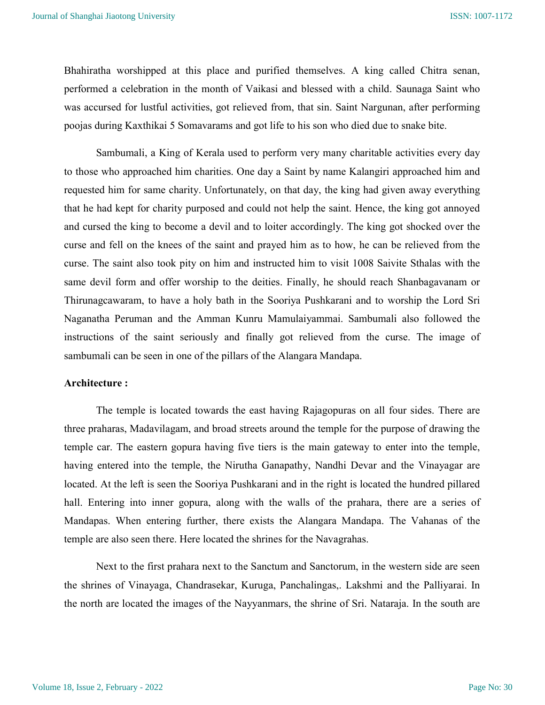Bhahiratha worshipped at this place and purified themselves. A king called Chitra senan, performed a celebration in the month of Vaikasi and blessed with a child. Saunaga Saint who was accursed for lustful activities, got relieved from, that sin. Saint Nargunan, after performing poojas during Kaxthikai 5 Somavarams and got life to his son who died due to snake bite.

Sambumali, a King of Kerala used to perform very many charitable activities every day to those who approached him charities. One day a Saint by name Kalangiri approached him and requested him for same charity. Unfortunately, on that day, the king had given away everything that he had kept for charity purposed and could not help the saint. Hence, the king got annoyed and cursed the king to become a devil and to loiter accordingly. The king got shocked over the curse and fell on the knees of the saint and prayed him as to how, he can be relieved from the curse. The saint also took pity on him and instructed him to visit 1008 Saivite Sthalas with the same devil form and offer worship to the deities. Finally, he should reach Shanbagavanam or Thirunagcawaram, to have a holy bath in the Sooriya Pushkarani and to worship the Lord Sri Naganatha Peruman and the Amman Kunru Mamulaiyammai. Sambumali also followed the instructions of the saint seriously and finally got relieved from the curse. The image of sambumali can be seen in one of the pillars of the Alangara Mandapa.

#### Architecture :

The temple is located towards the east having Rajagopuras on all four sides. There are three praharas, Madavilagam, and broad streets around the temple for the purpose of drawing the temple car. The eastern gopura having five tiers is the main gateway to enter into the temple, having entered into the temple, the Nirutha Ganapathy, Nandhi Devar and the Vinayagar are located. At the left is seen the Sooriya Pushkarani and in the right is located the hundred pillared hall. Entering into inner gopura, along with the walls of the prahara, there are a series of Mandapas. When entering further, there exists the Alangara Mandapa. The Vahanas of the temple are also seen there. Here located the shrines for the Navagrahas.

Next to the first prahara next to the Sanctum and Sanctorum, in the western side are seen the shrines of Vinayaga, Chandrasekar, Kuruga, Panchalingas,. Lakshmi and the Palliyarai. In the north are located the images of the Nayyanmars, the shrine of Sri. Nataraja. In the south are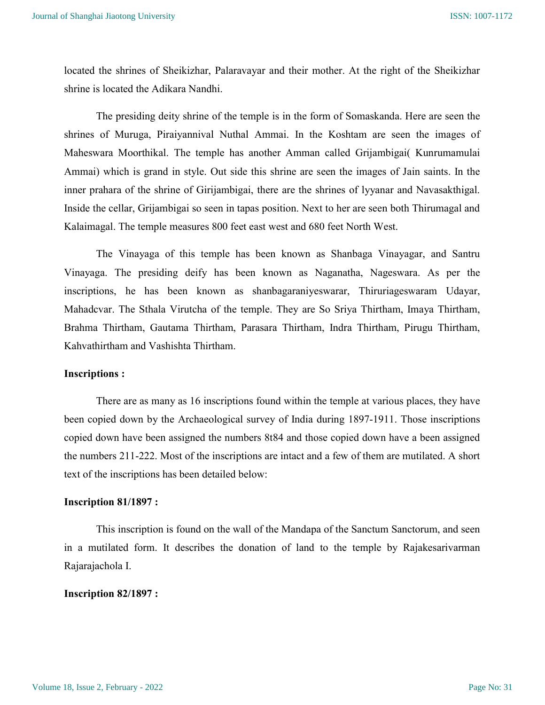located the shrines of Sheikizhar, Palaravayar and their mother. At the right of the Sheikizhar shrine is located the Adikara Nandhi.

The presiding deity shrine of the temple is in the form of Somaskanda. Here are seen the shrines of Muruga, Piraiyannival Nuthal Ammai. In the Koshtam are seen the images of Maheswara Moorthikal. The temple has another Amman called Grijambigai( Kunrumamulai Ammai) which is grand in style. Out side this shrine are seen the images of Jain saints. In the inner prahara of the shrine of Girijambigai, there are the shrines of lyyanar and Navasakthigal. Inside the cellar, Grijambigai so seen in tapas position. Next to her are seen both Thirumagal and Kalaimagal. The temple measures 800 feet east west and 680 feet North West.

The Vinayaga of this temple has been known as Shanbaga Vinayagar, and Santru Vinayaga. The presiding deify has been known as Naganatha, Nageswara. As per the inscriptions, he has been known as shanbagaraniyeswarar, Thiruriageswaram Udayar, Mahadcvar. The Sthala Virutcha of the temple. They are So Sriya Thirtham, Imaya Thirtham, Brahma Thirtham, Gautama Thirtham, Parasara Thirtham, Indra Thirtham, Pirugu Thirtham, Kahvathirtham and Vashishta Thirtham.

#### Inscriptions :

There are as many as 16 inscriptions found within the temple at various places, they have been copied down by the Archaeological survey of India during 1897-1911. Those inscriptions copied down have been assigned the numbers 8t84 and those copied down have a been assigned the numbers 211-222. Most of the inscriptions are intact and a few of them are mutilated. A short text of the inscriptions has been detailed below:

#### Inscription 81/1897 :

This inscription is found on the wall of the Mandapa of the Sanctum Sanctorum, and seen in a mutilated form. It describes the donation of land to the temple by Rajakesarivarman Rajarajachola I.

#### Inscription 82/1897 :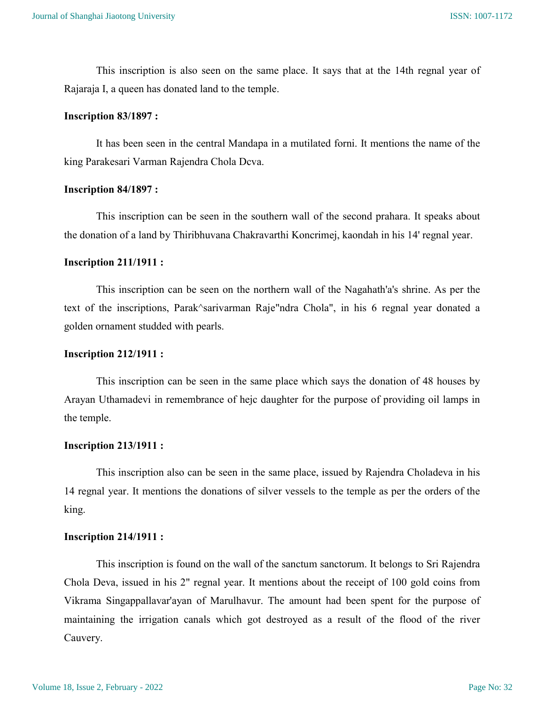This inscription is also seen on the same place. It says that at the 14th regnal year of Rajaraja I, a queen has donated land to the temple.

#### Inscription 83/1897 :

It has been seen in the central Mandapa in a mutilated forni. It mentions the name of the king Parakesari Varman Rajendra Chola Dcva.

#### Inscription 84/1897 :

This inscription can be seen in the southern wall of the second prahara. It speaks about the donation of a land by Thiribhuvana Chakravarthi Koncrimej, kaondah in his 14' regnal year.

#### Inscription 211/1911 :

This inscription can be seen on the northern wall of the Nagahath'a's shrine. As per the text of the inscriptions, Parak^sarivarman Raje"ndra Chola", in his 6 regnal year donated a golden ornament studded with pearls.

### Inscription 212/1911 :

This inscription can be seen in the same place which says the donation of 48 houses by Arayan Uthamadevi in remembrance of hejc daughter for the purpose of providing oil lamps in the temple.

## Inscription 213/1911 :

This inscription also can be seen in the same place, issued by Rajendra Choladeva in his 14 regnal year. It mentions the donations of silver vessels to the temple as per the orders of the king.

#### Inscription 214/1911 :

This inscription is found on the wall of the sanctum sanctorum. It belongs to Sri Rajendra Chola Deva, issued in his 2" regnal year. It mentions about the receipt of 100 gold coins from Vikrama Singappallavar'ayan of Marulhavur. The amount had been spent for the purpose of maintaining the irrigation canals which got destroyed as a result of the flood of the river Cauvery.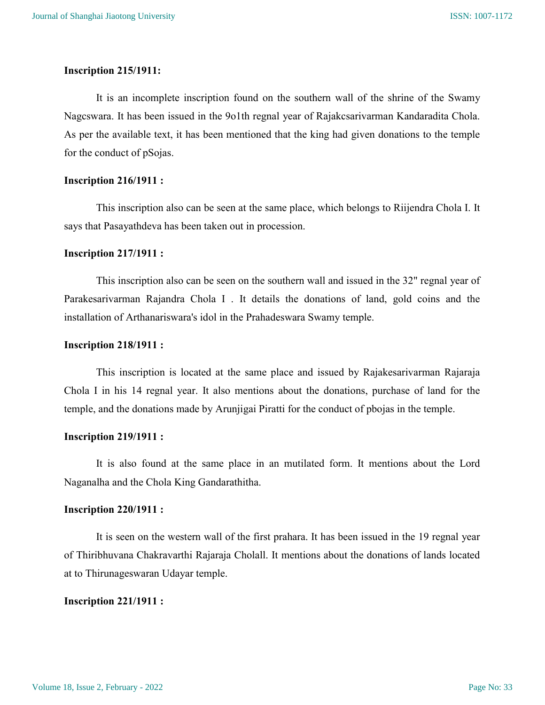## Inscription 215/1911:

It is an incomplete inscription found on the southern wall of the shrine of the Swamy Nagcswara. It has been issued in the 9o1th regnal year of Rajakcsarivarman Kandaradita Chola. As per the available text, it has been mentioned that the king had given donations to the temple for the conduct of pSojas.

## Inscription 216/1911 :

This inscription also can be seen at the same place, which belongs to Riijendra Chola I. It says that Pasayathdeva has been taken out in procession.

#### Inscription 217/1911 :

This inscription also can be seen on the southern wall and issued in the 32" regnal year of Parakesarivarman Rajandra Chola I . It details the donations of land, gold coins and the installation of Arthanariswara's idol in the Prahadeswara Swamy temple.

## Inscription 218/1911 :

This inscription is located at the same place and issued by Rajakesarivarman Rajaraja Chola I in his 14 regnal year. It also mentions about the donations, purchase of land for the temple, and the donations made by Arunjigai Piratti for the conduct of pbojas in the temple.

#### Inscription 219/1911 :

It is also found at the same place in an mutilated form. It mentions about the Lord Naganalha and the Chola King Gandarathitha.

#### Inscription 220/1911 :

It is seen on the western wall of the first prahara. It has been issued in the 19 regnal year of Thiribhuvana Chakravarthi Rajaraja Cholall. It mentions about the donations of lands located at to Thirunageswaran Udayar temple.

## Inscription 221/1911 :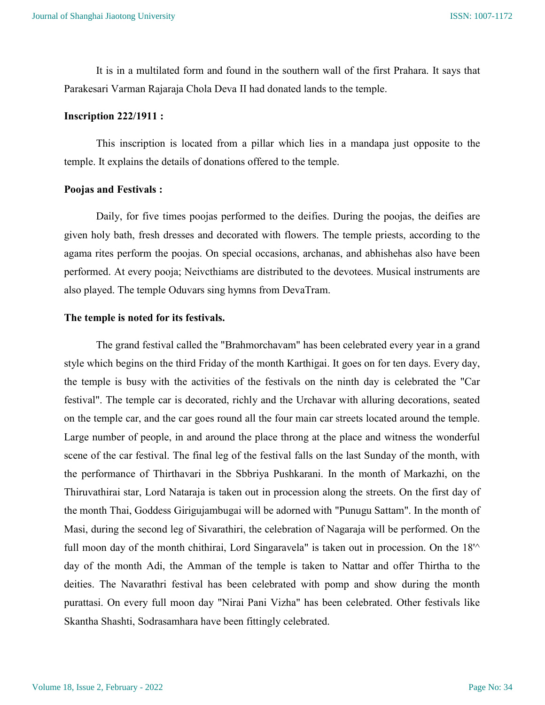It is in a multilated form and found in the southern wall of the first Prahara. It says that Parakesari Varman Rajaraja Chola Deva II had donated lands to the temple.

#### Inscription 222/1911 :

This inscription is located from a pillar which lies in a mandapa just opposite to the temple. It explains the details of donations offered to the temple.

#### Poojas and Festivals :

Daily, for five times poojas performed to the deifies. During the poojas, the deifies are given holy bath, fresh dresses and decorated with flowers. The temple priests, according to the agama rites perform the poojas. On special occasions, archanas, and abhishehas also have been performed. At every pooja; Neivcthiams are distributed to the devotees. Musical instruments are also played. The temple Oduvars sing hymns from DevaTram.

## The temple is noted for its festivals.

The grand festival called the "Brahmorchavam" has been celebrated every year in a grand style which begins on the third Friday of the month Karthigai. It goes on for ten days. Every day, the temple is busy with the activities of the festivals on the ninth day is celebrated the "Car festival". The temple car is decorated, richly and the Urchavar with alluring decorations, seated on the temple car, and the car goes round all the four main car streets located around the temple. Large number of people, in and around the place throng at the place and witness the wonderful scene of the car festival. The final leg of the festival falls on the last Sunday of the month, with the performance of Thirthavari in the Sbbriya Pushkarani. In the month of Markazhi, on the Thiruvathirai star, Lord Nataraja is taken out in procession along the streets. On the first day of the month Thai, Goddess Girigujambugai will be adorned with "Punugu Sattam". In the month of Masi, during the second leg of Sivarathiri, the celebration of Nagaraja will be performed. On the full moon day of the month chithirai, Lord Singaravela" is taken out in procession. On the  $18<sup>1</sup>$ day of the month Adi, the Amman of the temple is taken to Nattar and offer Thirtha to the deities. The Navarathri festival has been celebrated with pomp and show during the month purattasi. On every full moon day "Nirai Pani Vizha" has been celebrated. Other festivals like Skantha Shashti, Sodrasamhara have been fittingly celebrated.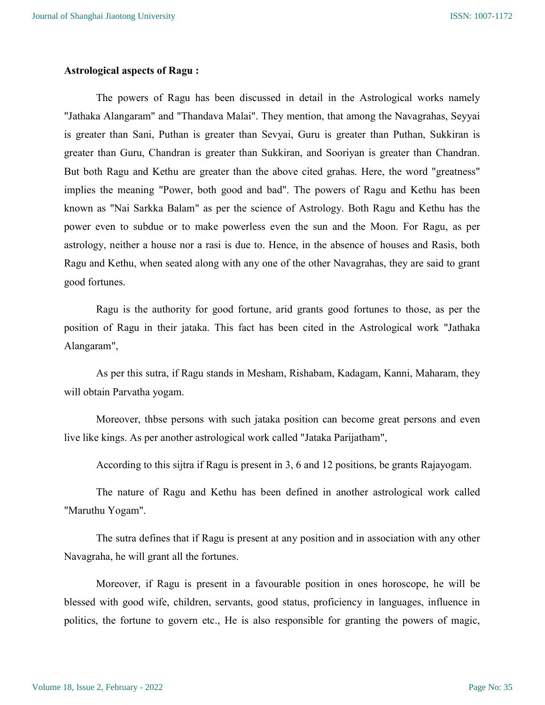#### Astrological aspects of Ragu :

The powers of Ragu has been discussed in detail in the Astrological works namely "Jathaka Alangaram" and "Thandava Malai". They mention, that among the Navagrahas, Seyyai is greater than Sani, Puthan is greater than Sevyai, Guru is greater than Puthan, Sukkiran is greater than Guru, Chandran is greater than Sukkiran, and Sooriyan is greater than Chandran. But both Ragu and Kethu are greater than the above cited grahas. Here, the word "greatness" implies the meaning "Power, both good and bad". The powers of Ragu and Kethu has been known as "Nai Sarkka Balam" as per the science of Astrology. Both Ragu and Kethu has the power even to subdue or to make powerless even the sun and the Moon. For Ragu, as per astrology, neither a house nor a rasi is due to. Hence, in the absence of houses and Rasis, both Ragu and Kethu, when seated along with any one of the other Navagrahas, they are said to grant good fortunes.

Ragu is the authority for good fortune, arid grants good fortunes to those, as per the position of Ragu in their jataka. This fact has been cited in the Astrological work "Jathaka Alangaram",

As per this sutra, if Ragu stands in Mesham, Rishabam, Kadagam, Kanni, Maharam, they will obtain Parvatha yogam.

Moreover, thbse persons with such jataka position can become great persons and even live like kings. As per another astrological work called "Jataka Parijatham",

According to this sijtra if Ragu is present in 3, 6 and 12 positions, be grants Rajayogam.

The nature of Ragu and Kethu has been defined in another astrological work called "Maruthu Yogam".

The sutra defines that if Ragu is present at any position and in association with any other Navagraha, he will grant all the fortunes.

Moreover, if Ragu is present in a favourable position in ones horoscope, he will be blessed with good wife, children, servants, good status, proficiency in languages, influence in politics, the fortune to govern etc., He is also responsible for granting the powers of magic,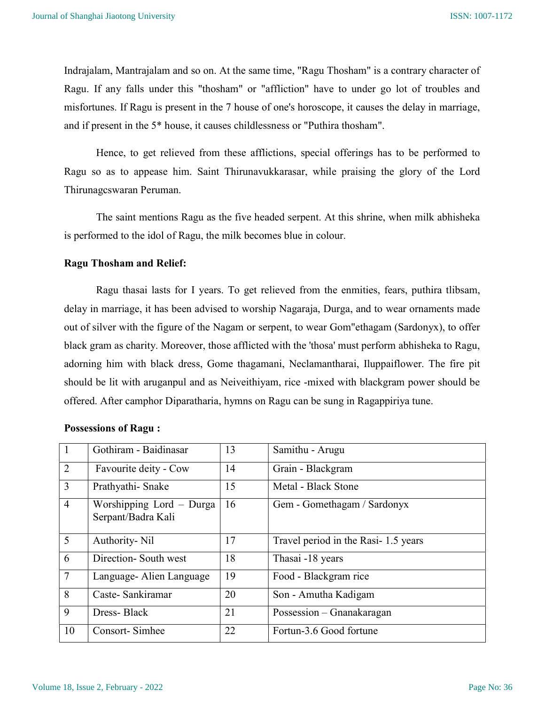Indrajalam, Mantrajalam and so on. At the same time, "Ragu Thosham" is a contrary character of Ragu. If any falls under this "thosham" or "affliction" have to under go lot of troubles and misfortunes. If Ragu is present in the 7 house of one's horoscope, it causes the delay in marriage, and if present in the 5\* house, it causes childlessness or "Puthira thosham".

Hence, to get relieved from these afflictions, special offerings has to be performed to Ragu so as to appease him. Saint Thirunavukkarasar, while praising the glory of the Lord Thirunagcswaran Peruman.

The saint mentions Ragu as the five headed serpent. At this shrine, when milk abhisheka is performed to the idol of Ragu, the milk becomes blue in colour.

## Ragu Thosham and Relief:

Ragu thasai lasts for I years. To get relieved from the enmities, fears, puthira tlibsam, delay in marriage, it has been advised to worship Nagaraja, Durga, and to wear ornaments made out of silver with the figure of the Nagam or serpent, to wear Gom"ethagam (Sardonyx), to offer black gram as charity. Moreover, those afflicted with the 'thosa' must perform abhisheka to Ragu, adorning him with black dress, Gome thagamani, Neclamantharai, Iluppaiflower. The fire pit should be lit with aruganpul and as Neiveithiyam, rice -mixed with blackgram power should be offered. After camphor Diparatharia, hymns on Ragu can be sung in Ragappiriya tune.

|                | Gothiram - Baidinasar                          | 13 | Samithu - Arugu                     |
|----------------|------------------------------------------------|----|-------------------------------------|
| 2              | Favourite deity - Cow                          | 14 | Grain - Blackgram                   |
| $\overline{3}$ | Prathyathi-Snake                               | 15 | Metal - Black Stone                 |
| $\overline{4}$ | Worshipping Lord – Durga<br>Serpant/Badra Kali | 16 | Gem - Gomethagam / Sardonyx         |
| 5              | Authority- Nil                                 | 17 | Travel period in the Rasi-1.5 years |
| 6              | Direction- South west                          | 18 | Thasai -18 years                    |
| $\overline{7}$ | Language - Alien Language                      | 19 | Food - Blackgram rice               |
| 8              | Caste-Sankiramar                               | 20 | Son - Amutha Kadigam                |
| 9              | Dress-Black                                    | 21 | Possession – Gnanakaragan           |
| 10             | Consort-Simhee                                 | 22 | Fortun-3.6 Good fortune             |

## Possessions of Ragu :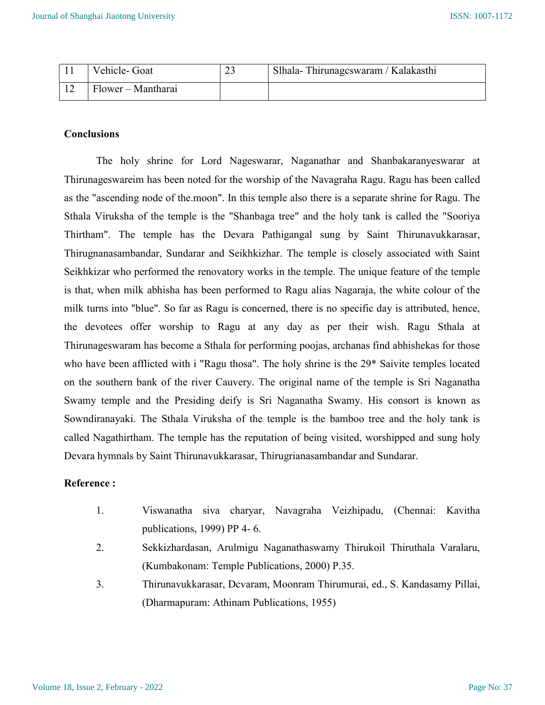| Vehicle-Goat       | ∼ | Slhala- Thirunagcswaram / Kalakasthi |
|--------------------|---|--------------------------------------|
| Flower – Mantharai |   |                                      |

## **Conclusions**

The holy shrine for Lord Nageswarar, Naganathar and Shanbakaranyeswarar at Thirunageswareim has been noted for the worship of the Navagraha Ragu. Ragu has been called as the "ascending node of the.moon". In this temple also there is a separate shrine for Ragu. The Sthala Viruksha of the temple is the "Shanbaga tree" and the holy tank is called the "Sooriya Thirtham". The temple has the Devara Pathigangal sung by Saint Thirunavukkarasar, Thirugnanasambandar, Sundarar and Seikhkizhar. The temple is closely associated with Saint Seikhkizar who performed the renovatory works in the temple. The unique feature of the temple is that, when milk abhisha has been performed to Ragu alias Nagaraja, the white colour of the milk turns into "blue". So far as Ragu is concerned, there is no specific day is attributed, hence, the devotees offer worship to Ragu at any day as per their wish. Ragu Sthala at Thirunageswaram has become a Sthala for performing poojas, archanas find abhishekas for those who have been afflicted with i "Ragu thosa". The holy shrine is the 29\* Saivite temples located on the southern bank of the river Cauvery. The original name of the temple is Sri Naganatha Swamy temple and the Presiding deify is Sri Naganatha Swamy. His consort is known as Sowndiranayaki. The Sthala Viruksha of the temple is the bamboo tree and the holy tank is called Nagathirtham. The temple has the reputation of being visited, worshipped and sung holy Devara hymnals by Saint Thirunavukkarasar, Thirugrianasambandar and Sundarar.

## Reference :

- 1. Viswanatha siva charyar, Navagraha Veizhipadu, (Chennai: Kavitha publications, 1999) PP 4- 6.
- 2. Sekkizhardasan, Arulmigu Naganathaswamy Thirukoil Thiruthala Varalaru, (Kumbakonam: Temple Publications, 2000) P.35.
- 3. Thirunavukkarasar, Dcvaram, Moonram Thirumurai, ed., S. Kandasamy Pillai, (Dharmapuram: Athinam Publications, 1955)